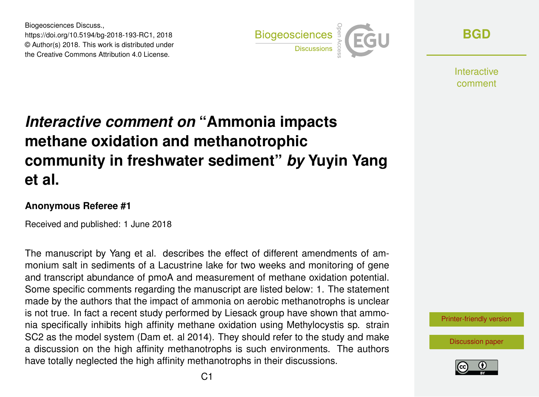Biogeosciences Discuss., https://doi.org/10.5194/bg-2018-193-RC1, 2018 © Author(s) 2018. This work is distributed under the Creative Commons Attribution 4.0 License.



**[BGD](https://www.biogeosciences-discuss.net/)**

**Interactive** comment

## *Interactive comment on* **"Ammonia impacts methane oxidation and methanotrophic community in freshwater sediment"** *by* **Yuyin Yang et al.**

## **Anonymous Referee #1**

Received and published: 1 June 2018

The manuscript by Yang et al. describes the effect of different amendments of ammonium salt in sediments of a Lacustrine lake for two weeks and monitoring of gene and transcript abundance of pmoA and measurement of methane oxidation potential. Some specific comments regarding the manuscript are listed below: 1. The statement made by the authors that the impact of ammonia on aerobic methanotrophs is unclear is not true. In fact a recent study performed by Liesack group have shown that ammonia specifically inhibits high affinity methane oxidation using Methylocystis sp. strain SC2 as the model system (Dam et. al 2014). They should refer to the study and make a discussion on the high affinity methanotrophs is such environments. The authors have totally neglected the high affinity methanotrophs in their discussions.

[Printer-friendly version](https://www.biogeosciences-discuss.net/bg-2018-193/bg-2018-193-RC1-print.pdf)

[Discussion paper](https://www.biogeosciences-discuss.net/bg-2018-193)